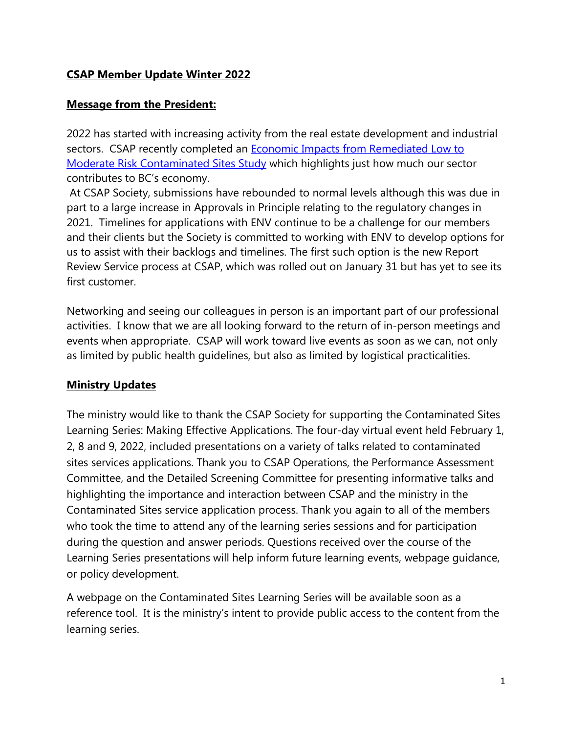## **CSAP Member Update Winter 2022**

### **Message from the President:**

2022 has started with increasing activity from the real estate development and industrial sectors. CSAP recently completed an [Economic Impacts from Remediated Low to](https://can01.safelinks.protection.outlook.com/?url=https%3A%2F%2Fcsapsociety.bc.ca%2Fwp-content%2Fuploads%2FEconomic-Impact-Study-2021.pdf&data=04%7C01%7Cnpomareda%40csapsociety.bc.ca%7C48ec2ccb7d5c464a3d3608d9f3bc85d0%7Cab97e2b2085f45ba971aec284160d874%7C0%7C0%7C637808814055063147%7CUnknown%7CTWFpbGZsb3d8eyJWIjoiMC4wLjAwMDAiLCJQIjoiV2luMzIiLCJBTiI6Ik1haWwiLCJXVCI6Mn0%3D%7C3000&sdata=EKB9gobFeH8U7psvFHXVSZbc5L38%2B1j4MVAnBJbkLB0%3D&reserved=0)  [Moderate Risk Contaminated Sites Study](https://can01.safelinks.protection.outlook.com/?url=https%3A%2F%2Fcsapsociety.bc.ca%2Fwp-content%2Fuploads%2FEconomic-Impact-Study-2021.pdf&data=04%7C01%7Cnpomareda%40csapsociety.bc.ca%7C48ec2ccb7d5c464a3d3608d9f3bc85d0%7Cab97e2b2085f45ba971aec284160d874%7C0%7C0%7C637808814055063147%7CUnknown%7CTWFpbGZsb3d8eyJWIjoiMC4wLjAwMDAiLCJQIjoiV2luMzIiLCJBTiI6Ik1haWwiLCJXVCI6Mn0%3D%7C3000&sdata=EKB9gobFeH8U7psvFHXVSZbc5L38%2B1j4MVAnBJbkLB0%3D&reserved=0) which highlights just how much our sector contributes to BC's economy.

At CSAP Society, submissions have rebounded to normal levels although this was due in part to a large increase in Approvals in Principle relating to the regulatory changes in 2021. Timelines for applications with ENV continue to be a challenge for our members and their clients but the Society is committed to working with ENV to develop options for us to assist with their backlogs and timelines. The first such option is the new Report Review Service process at CSAP, which was rolled out on January 31 but has yet to see its first customer.

Networking and seeing our colleagues in person is an important part of our professional activities. I know that we are all looking forward to the return of in-person meetings and events when appropriate. CSAP will work toward live events as soon as we can, not only as limited by public health guidelines, but also as limited by logistical practicalities.

## **Ministry Updates**

The ministry would like to thank the CSAP Society for supporting the Contaminated Sites Learning Series: Making Effective Applications. The four-day virtual event held February 1, 2, 8 and 9, 2022, included presentations on a variety of talks related to contaminated sites services applications. Thank you to CSAP Operations, the Performance Assessment Committee, and the Detailed Screening Committee for presenting informative talks and highlighting the importance and interaction between CSAP and the ministry in the Contaminated Sites service application process. Thank you again to all of the members who took the time to attend any of the learning series sessions and for participation during the question and answer periods. Questions received over the course of the Learning Series presentations will help inform future learning events, webpage guidance, or policy development.

A webpage on the Contaminated Sites Learning Series will be available soon as a reference tool. It is the ministry's intent to provide public access to the content from the learning series.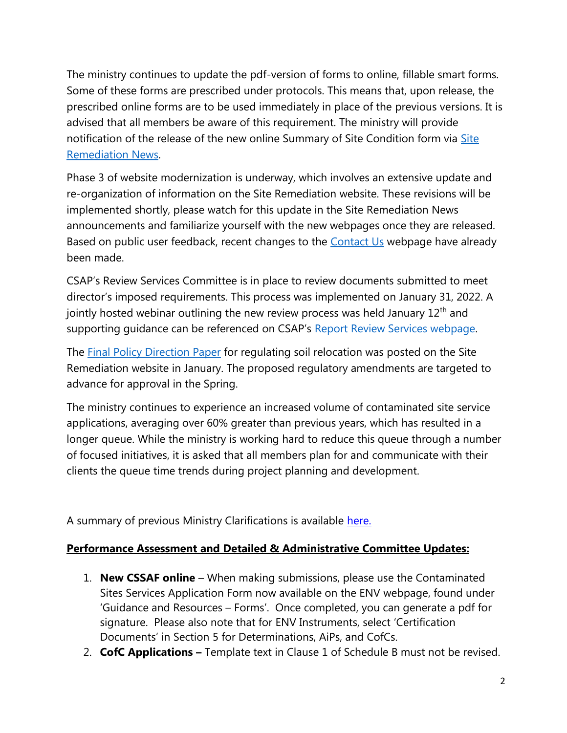The ministry continues to update the pdf-version of forms to online, fillable smart forms. Some of these forms are prescribed under protocols. This means that, upon release, the prescribed online forms are to be used immediately in place of the previous versions. It is advised that all members be aware of this requirement. The ministry will provide notification of the release of the new online Summary of Site Condition form via [Site](https://www2.gov.bc.ca/gov/content?id=7C45C80B1D9E424E8B8E24C3DAC7ADCA)  [Remediation News.](https://www2.gov.bc.ca/gov/content?id=7C45C80B1D9E424E8B8E24C3DAC7ADCA)

Phase 3 of website modernization is underway, which involves an extensive update and re-organization of information on the Site Remediation website. These revisions will be implemented shortly, please watch for this update in the Site Remediation News announcements and familiarize yourself with the new webpages once they are released. Based on public user feedback, recent changes to the [Contact Us](https://www2.gov.bc.ca/gov/content?id=A4D08BEE59244B8BA9DBBA13DF620BDC) webpage have already been made.

CSAP's Review Services Committee is in place to review documents submitted to meet director's imposed requirements. This process was implemented on January 31, 2022. A jointly hosted webinar outlining the new review process was held January  $12<sup>th</sup>$  and supporting quidance can be referenced on CSAP's [Report Review Services webpage.](https://csapsociety.bc.ca/additional-report-review-services/)

The [Final Policy Direction Paper](https://csapsociety.bc.ca/additional-report-review-services/) for regulating soil relocation was posted on the Site Remediation website in January. The proposed regulatory amendments are targeted to advance for approval in the Spring.

The ministry continues to experience an increased volume of contaminated site service applications, averaging over 60% greater than previous years, which has resulted in a longer queue. While the ministry is working hard to reduce this queue through a number of focused initiatives, it is asked that all members plan for and communicate with their clients the queue time trends during project planning and development.

A summary of previous Ministry Clarifications is available [here.](https://csapsociety.bc.ca/wp-content/uploads/0-Ministry-Updates-from-Summer-2012-to-Fall-2021.pdf)

## **Performance Assessment and Detailed & Administrative Committee Updates:**

- 1. **New CSSAF online** When making submissions, please use the Contaminated Sites Services Application Form now available on the ENV webpage, found under 'Guidance and Resources – Forms'. Once completed, you can generate a pdf for signature. Please also note that for ENV Instruments, select 'Certification Documents' in Section 5 for Determinations, AiPs, and CofCs.
- 2. **CofC Applications –** Template text in Clause 1 of Schedule B must not be revised.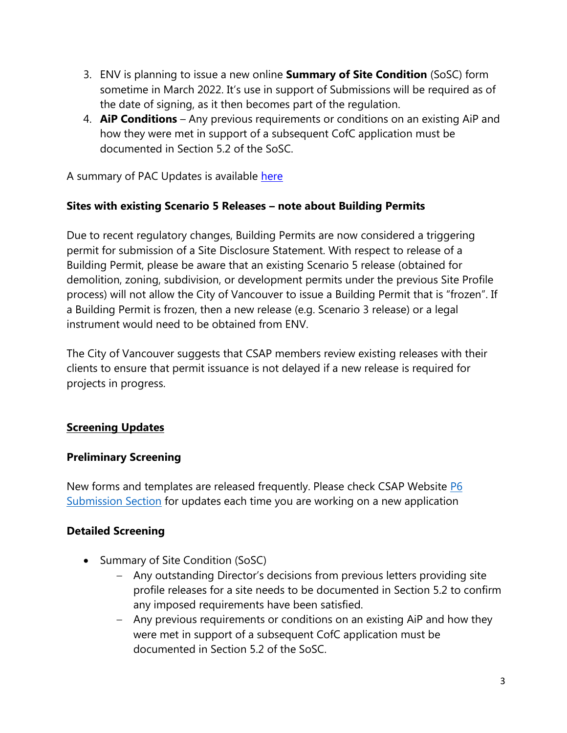- 3. ENV is planning to issue a new online **Summary of Site Condition** (SoSC) form sometime in March 2022. It's use in support of Submissions will be required as of the date of signing, as it then becomes part of the regulation.
- 4. **AiP Conditions** Any previous requirements or conditions on an existing AiP and how they were met in support of a subsequent CofC application must be documented in Section 5.2 of the SoSC.

A summary of PAC Updates is available [here](https://csapsociety.bc.ca/wp-content/uploads/0-Performance-Assessment-Committee-Updates-1.pdf)

### **Sites with existing Scenario 5 Releases – note about Building Permits**

Due to recent regulatory changes, Building Permits are now considered a triggering permit for submission of a Site Disclosure Statement. With respect to release of a Building Permit, please be aware that an existing Scenario 5 release (obtained for demolition, zoning, subdivision, or development permits under the previous Site Profile process) will not allow the City of Vancouver to issue a Building Permit that is "frozen". If a Building Permit is frozen, then a new release (e.g. Scenario 3 release) or a legal instrument would need to be obtained from ENV.

The City of Vancouver suggests that CSAP members review existing releases with their clients to ensure that permit issuance is not delayed if a new release is required for projects in progress.

## **Screening Updates**

### **Preliminary Screening**

New forms and templates are released frequently. Please check CSAP Website **P6** [Submission Section](https://can01.safelinks.protection.outlook.com/?url=https%3A%2F%2Fcsapsociety.bc.ca%2Fsubmission-package-forms%2F&data=04%7C01%7Cnpomareda%40csapsociety.bc.ca%7C3815b95c6a9c472351d508d9f26631b7%7Cab97e2b2085f45ba971aec284160d874%7C0%7C0%7C637807342991352729%7CUnknown%7CTWFpbGZsb3d8eyJWIjoiMC4wLjAwMDAiLCJQIjoiV2luMzIiLCJBTiI6Ik1haWwiLCJXVCI6Mn0%3D%7C3000&sdata=wiXIVpFBMYfvSAq4C4sB7dYIGvZGBrX0Ra%2B927EMFV4%3D&reserved=0) for updates each time you are working on a new application

### **Detailed Screening**

- Summary of Site Condition (SoSC)
	- Any outstanding Director's decisions from previous letters providing site profile releases for a site needs to be documented in Section 5.2 to confirm any imposed requirements have been satisfied.
	- Any previous requirements or conditions on an existing AiP and how they were met in support of a subsequent CofC application must be documented in Section 5.2 of the SoSC.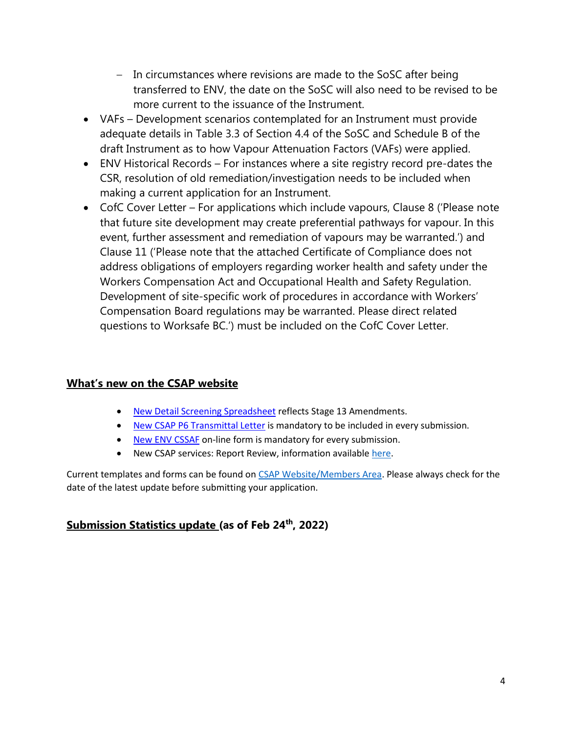- In circumstances where revisions are made to the SoSC after being transferred to ENV, the date on the SoSC will also need to be revised to be more current to the issuance of the Instrument.
- VAFs Development scenarios contemplated for an Instrument must provide adequate details in Table 3.3 of Section 4.4 of the SoSC and Schedule B of the draft Instrument as to how Vapour Attenuation Factors (VAFs) were applied.
- ENV Historical Records For instances where a site registry record pre-dates the CSR, resolution of old remediation/investigation needs to be included when making a current application for an Instrument.
- CofC Cover Letter For applications which include vapours, Clause 8 ('Please note that future site development may create preferential pathways for vapour. In this event, further assessment and remediation of vapours may be warranted.') and Clause 11 ('Please note that the attached Certificate of Compliance does not address obligations of employers regarding worker health and safety under the Workers Compensation Act and Occupational Health and Safety Regulation. Development of site-specific work of procedures in accordance with Workers' Compensation Board regulations may be warranted. Please direct related questions to Worksafe BC.') must be included on the CofC Cover Letter.

### **What's new on the CSAP website**

- [New Detail Screening Spreadsheet](https://can01.safelinks.protection.outlook.com/?url=https%3A%2F%2Fcsapsociety.bc.ca%2Fwp-content%2Fuploads%2FCSAP-Admin-and-Detailed-Screening-Guidance-_7-Feb-2022_FINAL.pdf&data=04%7C01%7Cnpomareda%40csapsociety.bc.ca%7C914bb28c376c4415e06608d9f88638cc%7Cab97e2b2085f45ba971aec284160d874%7C0%7C0%7C637814077617567459%7CUnknown%7CTWFpbGZsb3d8eyJWIjoiMC4wLjAwMDAiLCJQIjoiV2luMzIiLCJBTiI6Ik1haWwiLCJXVCI6Mn0%3D%7C3000&sdata=jz%2FFuanIVGSIJbqg9o8de7V4d0VxkrtuCscMCacTCIo%3D&reserved=0) reflects Stage 13 Amendments.
- [New CSAP P6 Transmittal Letter](https://can01.safelinks.protection.outlook.com/?url=https%3A%2F%2Fcsapsociety.bc.ca%2Fwp-content%2Fuploads%2FTransmittal-Template-V17.docx&data=04%7C01%7Cnpomareda%40csapsociety.bc.ca%7C914bb28c376c4415e06608d9f88638cc%7Cab97e2b2085f45ba971aec284160d874%7C0%7C0%7C637814077617567459%7CUnknown%7CTWFpbGZsb3d8eyJWIjoiMC4wLjAwMDAiLCJQIjoiV2luMzIiLCJBTiI6Ik1haWwiLCJXVCI6Mn0%3D%7C3000&sdata=v8NCWGh0Di4RVuhMyPP7tqKMkJpyK7KAs2ESWE4v3AU%3D&reserved=0) is mandatory to be included in every submission.
- [New ENV CSSAF](https://can01.safelinks.protection.outlook.com/?url=https%3A%2F%2Fchefs.nrs.gov.bc.ca%2Fapp%2Fform%2Fsubmit%3Ff%3Df003bc9e-0296-4a55-aa43-d8adaf0a022d&data=04%7C01%7Cnpomareda%40csapsociety.bc.ca%7C914bb28c376c4415e06608d9f88638cc%7Cab97e2b2085f45ba971aec284160d874%7C0%7C0%7C637814077617567459%7CUnknown%7CTWFpbGZsb3d8eyJWIjoiMC4wLjAwMDAiLCJQIjoiV2luMzIiLCJBTiI6Ik1haWwiLCJXVCI6Mn0%3D%7C3000&sdata=edrzeObJ5W9lvXrzBL78QF5SGEC3QGaEow%2FXoebKxqI%3D&reserved=0) on-line form is mandatory for every submission.
- New CSAP services: Report Review, information availabl[e here.](https://csapsociety.bc.ca/additional-report-review-services/)

Current templates and forms can be found on [CSAP Website/Members Area.](https://csapsociety.bc.ca/members/) Please always check for the date of the latest update before submitting your application.

### **Submission Statistics update (as of Feb 24th , 2022)**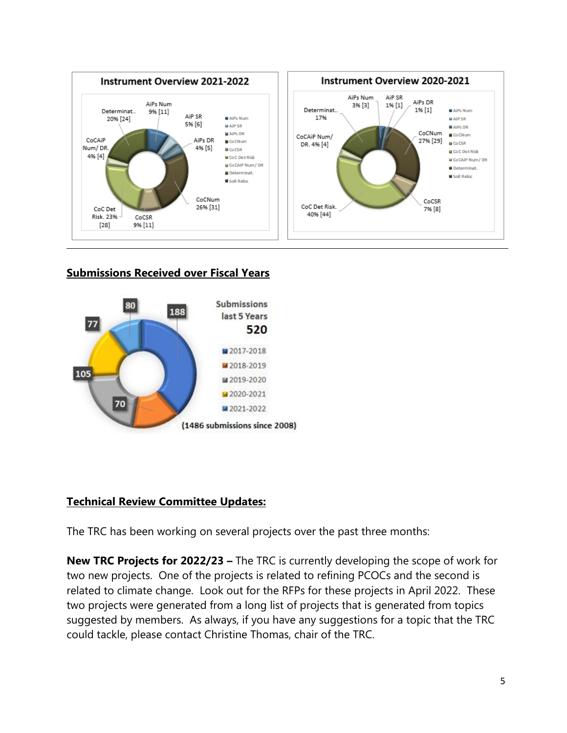

# **Submissions Received over Fiscal Years**



# **Technical Review Committee Updates:**

The TRC has been working on several projects over the past three months:

**New TRC Projects for 2022/23 –** The TRC is currently developing the scope of work for two new projects. One of the projects is related to refining PCOCs and the second is related to climate change. Look out for the RFPs for these projects in April 2022. These two projects were generated from a long list of projects that is generated from topics suggested by members. As always, if you have any suggestions for a topic that the TRC could tackle, please contact Christine Thomas, chair of the TRC.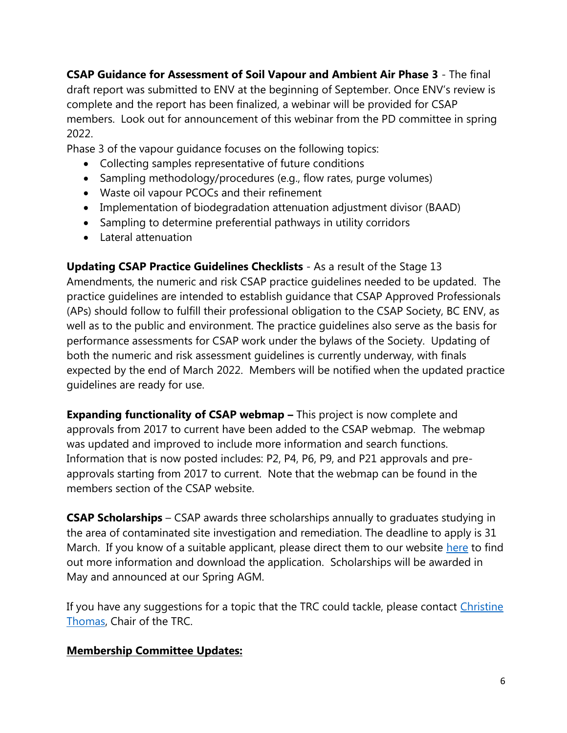**CSAP Guidance for Assessment of Soil Vapour and Ambient Air Phase 3** - The final draft report was submitted to ENV at the beginning of September. Once ENV's review is complete and the report has been finalized, a webinar will be provided for CSAP members. Look out for announcement of this webinar from the PD committee in spring 2022.

Phase 3 of the vapour guidance focuses on the following topics:

- Collecting samples representative of future conditions
- Sampling methodology/procedures (e.g., flow rates, purge volumes)
- Waste oil vapour PCOCs and their refinement
- Implementation of biodegradation attenuation adjustment divisor (BAAD)
- Sampling to determine preferential pathways in utility corridors
- Lateral attenuation

**Updating CSAP Practice Guidelines Checklists** - As a result of the Stage 13 Amendments, the numeric and risk CSAP practice guidelines needed to be updated. The practice guidelines are intended to establish guidance that CSAP Approved Professionals (APs) should follow to fulfill their professional obligation to the CSAP Society, BC ENV, as well as to the public and environment. The practice guidelines also serve as the basis for performance assessments for CSAP work under the bylaws of the Society. Updating of both the numeric and risk assessment guidelines is currently underway, with finals expected by the end of March 2022. Members will be notified when the updated practice guidelines are ready for use.

**Expanding functionality of CSAP webmap –** This project is now complete and approvals from 2017 to current have been added to the CSAP webmap. The webmap was updated and improved to include more information and search functions. Information that is now posted includes: P2, P4, P6, P9, and P21 approvals and preapprovals starting from 2017 to current. Note that the webmap can be found in the members section of the CSAP website.

**CSAP Scholarships** – CSAP awards three scholarships annually to graduates studying in the area of contaminated site investigation and remediation. The deadline to apply is 31 March. If you know of a suitable applicant, please direct them to our website [here](https://can01.safelinks.protection.outlook.com/?url=https%3A%2F%2Fcsapsociety.bc.ca%2Fabout%2Fscholarships%2F&data=04%7C01%7Cnpomareda%40csapsociety.bc.ca%7C0ebcd65939294c567fb608d9f33244ad%7Cab97e2b2085f45ba971aec284160d874%7C0%7C0%7C637808219489486435%7CUnknown%7CTWFpbGZsb3d8eyJWIjoiMC4wLjAwMDAiLCJQIjoiV2luMzIiLCJBTiI6Ik1haWwiLCJXVCI6Mn0%3D%7C3000&sdata=bO19yaCNKewlKbeGFefB2PyuyVdL17L4nk4Yle8iNzA%3D&reserved=0) to find out more information and download the application. Scholarships will be awarded in May and announced at our Spring AGM.

If you have any suggestions for a topic that the TRC could tackle, please contact [Christine](mailto:christine_thomas@golder.com)  [Thomas,](mailto:christine_thomas@golder.com) Chair of the TRC.

## **Membership Committee Updates:**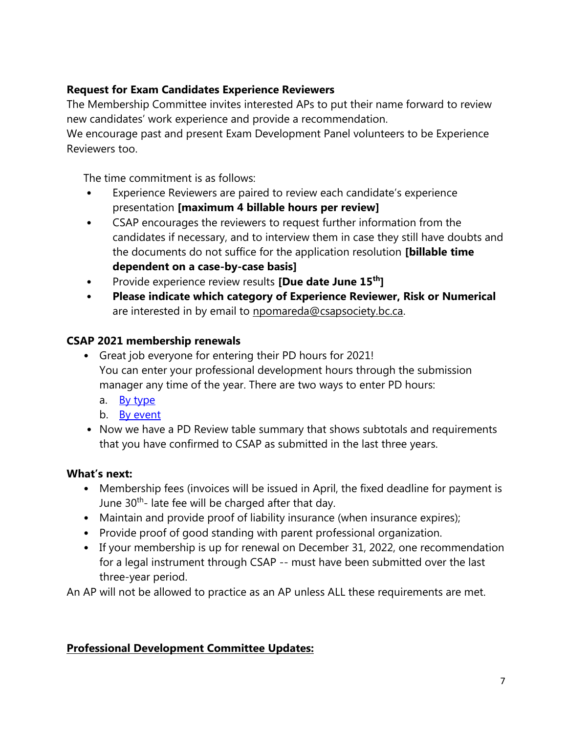# **Request for Exam Candidates Experience Reviewers**

The Membership Committee invites interested APs to put their name forward to review new candidates' work experience and provide a recommendation.

We encourage past and present Exam Development Panel volunteers to be Experience Reviewers too.

The time commitment is as follows:

- Experience Reviewers are paired to review each candidate's experience presentation **[maximum 4 billable hours per review]**
- CSAP encourages the reviewers to request further information from the candidates if necessary, and to interview them in case they still have doubts and the documents do not suffice for the application resolution **[billable time dependent on a case-by-case basis]**
- Provide experience review results **[Due date June 15th]**
- **Please indicate which category of Experience Reviewer, Risk or Numerical**  are interested in by email to [npomareda@csapsociety.bc.ca.](mailto:npomareda@csapsociety.bc.ca)

## **CSAP 2021 membership renewals**

- Great job everyone for entering their PD hours for 2021! You can enter your professional development hours through the submission manager any time of the year. There are two ways to enter PD hours:
	- a. [By type](http://csapsociety.bc.ca/wp-content/uploads/CSAP-PD-Hours-Report-two-ways-to-report_type.pdf)
	- b. [By event](http://csapsociety.bc.ca/wp-content/uploads/CSAP-PD-Hours-Report-two-ways-to-report_event.pdf)
- Now we have a PD Review table summary that shows subtotals and requirements that you have confirmed to CSAP as submitted in the last three years.

## **What's next:**

- Membership fees (invoices will be issued in April, the fixed deadline for payment is June 30<sup>th</sup>- late fee will be charged after that day.
- Maintain and provide proof of liability insurance (when insurance expires);
- Provide proof of good standing with parent professional organization.
- If your membership is up for renewal on December 31, 2022, one recommendation for a legal instrument through CSAP -- must have been submitted over the last three-year period.

An AP will not be allowed to practice as an AP unless ALL these requirements are met.

# **Professional Development Committee Updates:**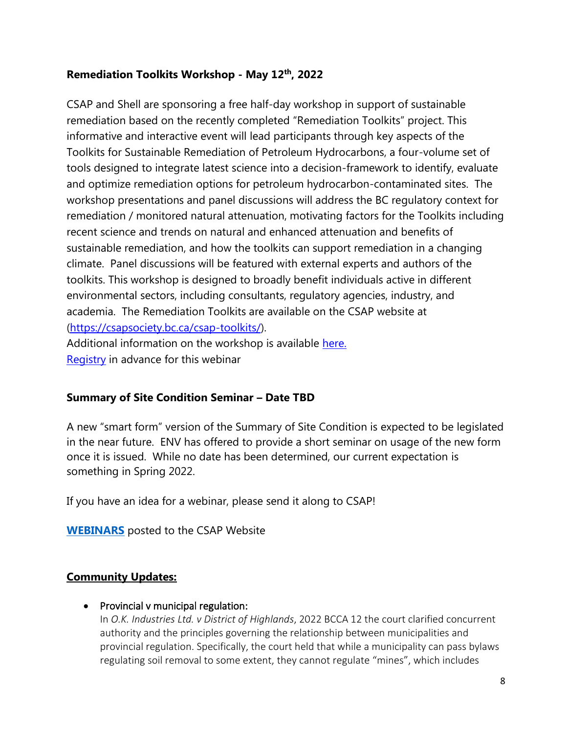## **Remediation Toolkits Workshop - May 12th, 2022**

CSAP and Shell are sponsoring a free half-day workshop in support of sustainable remediation based on the recently completed "Remediation Toolkits" project. This informative and interactive event will lead participants through key aspects of the Toolkits for Sustainable Remediation of Petroleum Hydrocarbons, a four-volume set of tools designed to integrate latest science into a decision-framework to identify, evaluate and optimize remediation options for petroleum hydrocarbon-contaminated sites. The workshop presentations and panel discussions will address the BC regulatory context for remediation / monitored natural attenuation, motivating factors for the Toolkits including recent science and trends on natural and enhanced attenuation and benefits of sustainable remediation, and how the toolkits can support remediation in a changing climate. Panel discussions will be featured with external experts and authors of the toolkits. This workshop is designed to broadly benefit individuals active in different environmental sectors, including consultants, regulatory agencies, industry, and academia. The Remediation Toolkits are available on the CSAP website at [\(https://csapsociety.bc.ca/csap-toolkits/\)](https://csapsociety.bc.ca/csap-toolkits/).

Additional information on the workshop is available [here.](https://csapsociety.bc.ca/workshop-on-toolkits-for-sustainable-remediation-of-petroleum-hydrocarbons/) [Registry](https://us06web.zoom.us/webinar/register/WN_E8bDg-XkTh2BAMr3IjQ7VA) in advance for this webinar

### **Summary of Site Condition Seminar – Date TBD**

A new "smart form" version of the Summary of Site Condition is expected to be legislated in the near future. ENV has offered to provide a short seminar on usage of the new form once it is issued. While no date has been determined, our current expectation is something in Spring 2022.

If you have an idea for a webinar, please send it along to CSAP!

**[WEBINARS](https://csapsociety.bc.ca/members/pd-webinars/)** posted to the CSAP Website

### **Community Updates:**

#### • Provincial v municipal regulation:

In *O.K. Industries Ltd. v District of Highlands*, 2022 BCCA 12 the court clarified concurrent authority and the principles governing the relationship between municipalities and provincial regulation. Specifically, the court held that while a municipality can pass bylaws regulating soil removal to some extent, they cannot regulate "mines", which includes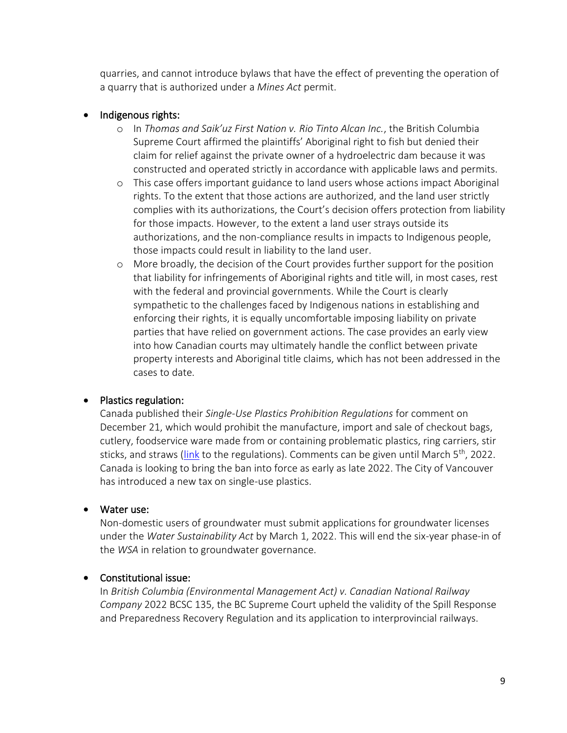quarries, and cannot introduce bylaws that have the effect of preventing the operation of a quarry that is authorized under a *Mines Act* permit.

#### • Indigenous rights:

- o In *Thomas and Saik'uz First Nation v. Rio Tinto Alcan Inc.*, the British Columbia Supreme Court affirmed the plaintiffs' Aboriginal right to fish but denied their claim for relief against the private owner of a hydroelectric dam because it was constructed and operated strictly in accordance with applicable laws and permits.
- o This case offers important guidance to land users whose actions impact Aboriginal rights. To the extent that those actions are authorized, and the land user strictly complies with its authorizations, the Court's decision offers protection from liability for those impacts. However, to the extent a land user strays outside its authorizations, and the non-compliance results in impacts to Indigenous people, those impacts could result in liability to the land user.
- o More broadly, the decision of the Court provides further support for the position that liability for infringements of Aboriginal rights and title will, in most cases, rest with the federal and provincial governments. While the Court is clearly sympathetic to the challenges faced by Indigenous nations in establishing and enforcing their rights, it is equally uncomfortable imposing liability on private parties that have relied on government actions. The case provides an early view into how Canadian courts may ultimately handle the conflict between private property interests and Aboriginal title claims, which has not been addressed in the cases to date.

#### • Plastics regulation:

Canada published their *Single-Use Plastics Prohibition Regulations* for comment on December 21, which would prohibit the manufacture, import and sale of checkout bags, cutlery, foodservice ware made from or containing problematic plastics, ring carriers, stir sticks, and straws [\(link](https://can01.safelinks.protection.outlook.com/?url=https%3A%2F%2Fwww.gazette.gc.ca%2Frp-pr%2Fp1%2F2021%2F2021-12-25%2Fhtml%2Freg2-eng.html&data=04%7C01%7Ccschachtel%40csapsociety.bc.ca%7C132d5c1f3d314722b90908d9e74275a7%7Cab97e2b2085f45ba971aec284160d874%7C0%7C0%7C637795094906435961%7CUnknown%7CTWFpbGZsb3d8eyJWIjoiMC4wLjAwMDAiLCJQIjoiV2luMzIiLCJBTiI6Ik1haWwiLCJXVCI6Mn0%3D%7C3000&sdata=SSU2WanmkSJyATB%2FAL8AHOch85RiYqmrzyITtl0rOd0%3D&reserved=0) to the regulations). Comments can be given until March  $5<sup>th</sup>$ , 2022. Canada is looking to bring the ban into force as early as late 2022. The City of Vancouver has introduced a new tax on single-use plastics.

#### • Water use:

Non-domestic users of groundwater must submit applications for groundwater licenses under the *Water Sustainability Act* by March 1, 2022. This will end the six-year phase-in of the *WSA* in relation to groundwater governance.

#### • Constitutional issue:

In *British Columbia (Environmental Management Act) v. Canadian National Railway Company* 2022 BCSC 135, the BC Supreme Court upheld the validity of the Spill Response and Preparedness Recovery Regulation and its application to interprovincial railways.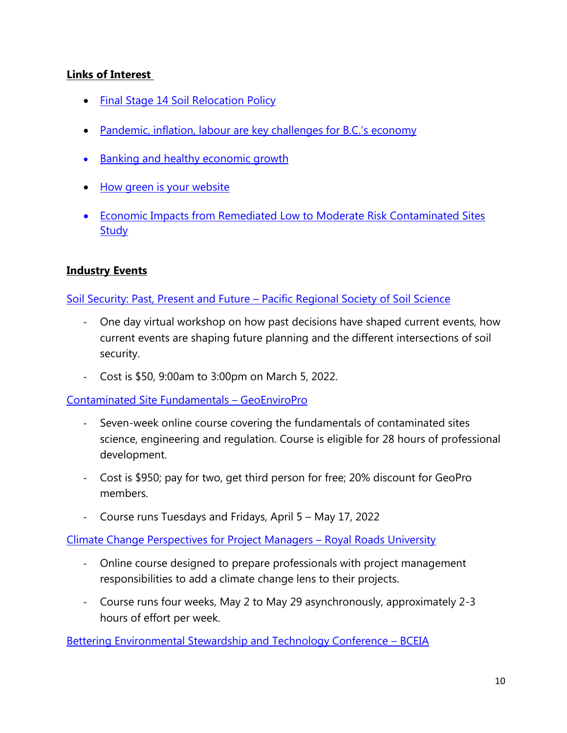## **Links of Interest**

- [Final Stage 14 Soil Relocation Policy](https://www2.gov.bc.ca/assets/gov/environment/air-land-water/site-remediation/docs/reports-and-presentations/regulating_soil_relocation_final_policy_direction.pdf)
- [Pandemic, inflation, labour are key challenges for B.C.'s economy](https://bcbc.com/insights-and-opinions/opinion-pandemic-inflation-labour-are-key-challenges-for-b-c-s-economy)
- [Banking and healthy economic growth](https://bcbc.com/media/globe-and-mail-are-liberals-repeating-past-mistakes-by-banking-on-healthy-economic-growth)
- [How green is your website](https://ecograder.com/)
- [Economic Impacts from Remediated Low to Moderate Risk Contaminated Sites](https://csapsociety.bc.ca/wp-content/uploads/Economic-Impact-Study-2021.pdf)  **[Study](https://csapsociety.bc.ca/wp-content/uploads/Economic-Impact-Study-2021.pdf)**

### **Industry Events**

#### Soil Security: Past, Present and Future – [Pacific Regional Society of Soil Science](https://www.bcia.com/events/soil-security-past-present-future-pacific-regional-society-soil-science)

- One day virtual workshop on how past decisions have shaped current events, how current events are shaping future planning and the different intersections of soil security.
- Cost is \$50, 9:00am to 3:00pm on March 5, 2022.

[Contaminated Site Fundamentals](https://geoenviropro.com/workshops/) – GeoEnviroPro

- Seven-week online course covering the fundamentals of contaminated sites science, engineering and regulation. Course is eligible for 28 hours of professional development.
- Cost is \$950; pay for two, get third person for free; 20% discount for GeoPro members.
- Course runs Tuesdays and Fridays, April 5 May 17, 2022

[Climate Change Perspectives for Project Managers](https://pcs.royalroads.ca/climate-change-perspectives-for-project-managers-online) – Royal Roads University

- Online course designed to prepare professionals with project management responsibilities to add a climate change lens to their projects.
- Course runs four weeks, May 2 to May 29 asynchronously, approximately 2-3 hours of effort per week.

[Bettering Environmental Stewardship and Technology Conference](https://bceia.com/best/) – BCEIA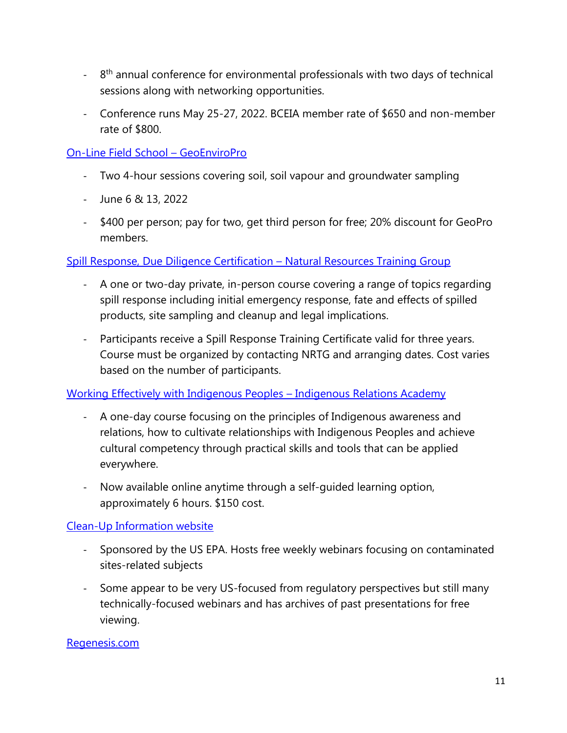- <sup>-</sup> 8<sup>th</sup> annual conference for environmental professionals with two days of technical sessions along with networking opportunities.
- Conference runs May 25-27, 2022. BCEIA member rate of \$650 and non-member rate of \$800.

## [On-Line Field School](https://geoenviropro.com/workshops/) – GeoEnviroPro

- Two 4-hour sessions covering soil, soil vapour and groundwater sampling
- June 6 & 13, 2022
- \$400 per person; pay for two, get third person for free; 20% discount for GeoPro members.

## [Spill Response, Due Diligence Certification](https://www.nrtraininggroup.com/spill-response-due-diligence) – Natural Resources Training Group

- A one or two-day private, in-person course covering a range of topics regarding spill response including initial emergency response, fate and effects of spilled products, site sampling and cleanup and legal implications.
- Participants receive a Spill Response Training Certificate valid for three years. Course must be organized by contacting NRTG and arranging dates. Cost varies based on the number of participants.

### [Working Effectively with Indigenous Peoples](https://www.indigenousrelationsacademy.com/collections/training/products/working-effectively-with-indigenous-peoples) – Indigenous Relations Academy

- A one-day course focusing on the principles of Indigenous awareness and relations, how to cultivate relationships with Indigenous Peoples and achieve cultural competency through practical skills and tools that can be applied everywhere.
- Now available online anytime through a self-guided learning option, approximately 6 hours. \$150 cost.

## [Clean-Up Information website](https://clu-in.org/default.cfm)

- Sponsored by the US EPA. Hosts free weekly webinars focusing on contaminated sites-related subjects
- Some appear to be very US-focused from regulatory perspectives but still many technically-focused webinars and has archives of past presentations for free viewing.

### [Regenesis.com](file://///csapsv01/Data/COMMUNICATIONS/7-CSAP%20MEMBERS%20UPDATES/Updates%202021_22/4.%20Winter%202022/regenesis.com)